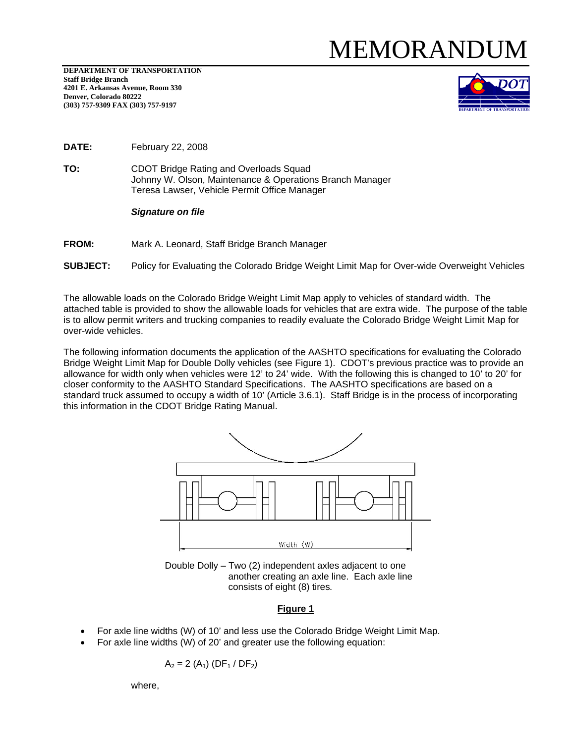## MEMORAND

**DEPARTMENT OF TRANSPORTATION Staff Bridge Branch 4201 E. Arkansas Avenue, Room 330 Denver, Colorado 80222 (303) 757-9309 FAX (303) 757-9197** 



**DATE:** February 22, 2008

**TO:** CDOT Bridge Rating and Overloads Squad Johnny W. Olson, Maintenance & Operations Branch Manager Teresa Lawser, Vehicle Permit Office Manager

*Signature on file* 

**FROM:** Mark A. Leonard, Staff Bridge Branch Manager

**SUBJECT:** Policy for Evaluating the Colorado Bridge Weight Limit Map for Over-wide Overweight Vehicles

The allowable loads on the Colorado Bridge Weight Limit Map apply to vehicles of standard width. The attached table is provided to show the allowable loads for vehicles that are extra wide. The purpose of the table is to allow permit writers and trucking companies to readily evaluate the Colorado Bridge Weight Limit Map for over-wide vehicles.

The following information documents the application of the AASHTO specifications for evaluating the Colorado Bridge Weight Limit Map for Double Dolly vehicles (see Figure 1). CDOT's previous practice was to provide an allowance for width only when vehicles were 12' to 24' wide. With the following this is changed to 10' to 20' for closer conformity to the AASHTO Standard Specifications. The AASHTO specifications are based on a standard truck assumed to occupy a width of 10' (Article 3.6.1). Staff Bridge is in the process of incorporating this information in the CDOT Bridge Rating Manual.



Double Dolly – Two (2) independent axles adjacent to one another creating an axle line. Each axle line consists of eight (8) tires*.*

## **Figure 1**

- For axle line widths (W) of 10' and less use the Colorado Bridge Weight Limit Map.
- For axle line widths (W) of 20' and greater use the following equation:

$$
A_2 = 2 (A_1) (DF_1 / DF_2)
$$

where,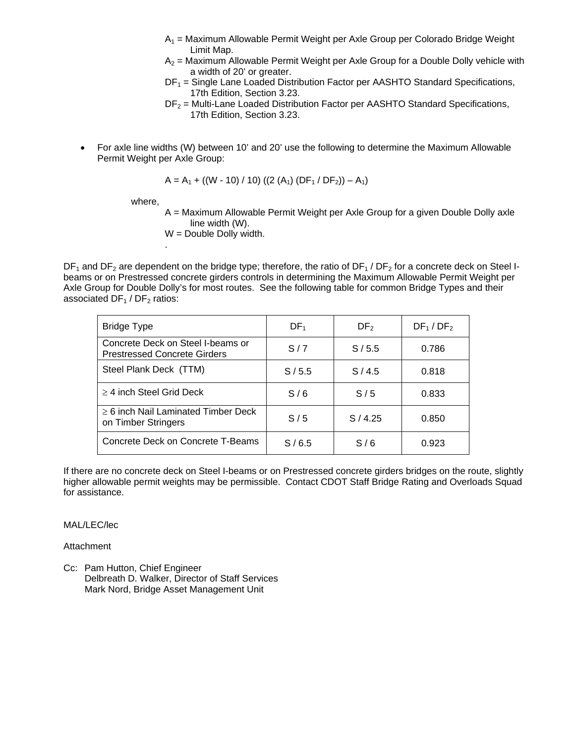- $A_1$  = Maximum Allowable Permit Weight per Axle Group per Colorado Bridge Weight Limit Map.
- $A_2$  = Maximum Allowable Permit Weight per Axle Group for a Double Dolly vehicle with a width of 20' or greater.
- $DF<sub>1</sub>$  = Single Lane Loaded Distribution Factor per AASHTO Standard Specifications, 17th Edition, Section 3.23.
- $DF<sub>2</sub>$  = Multi-Lane Loaded Distribution Factor per AASHTO Standard Specifications, 17th Edition, Section 3.23.
- For axle line widths (W) between 10' and 20' use the following to determine the Maximum Allowable Permit Weight per Axle Group:

$$
A = A_1 + ((W - 10) / 10) ((2 (A_1) (DF_1 / DF_2)) - A_1)
$$

where,

.

A = Maximum Allowable Permit Weight per Axle Group for a given Double Dolly axle line width (W).

W = Double Dolly width.

 $DF_1$  and  $DF_2$  are dependent on the bridge type; therefore, the ratio of  $DF_1 / DF_2$  for a concrete deck on Steel Ibeams or on Prestressed concrete girders controls in determining the Maximum Allowable Permit Weight per Axle Group for Double Dolly's for most routes. See the following table for common Bridge Types and their associated  $DF_1 / DF_2$  ratios:

| <b>Bridge Type</b>                                                       | DF <sub>1</sub> | DF <sub>2</sub> | DF <sub>1</sub> /DF <sub>2</sub> |
|--------------------------------------------------------------------------|-----------------|-----------------|----------------------------------|
| Concrete Deck on Steel I-beams or<br><b>Prestressed Concrete Girders</b> | S/7             | S/5.5           | 0.786                            |
| Steel Plank Deck (TTM)                                                   | S/5.5           | S/4.5           | 0.818                            |
| $\geq$ 4 inch Steel Grid Deck                                            | S/6             | S/5             | 0.833                            |
| $\geq$ 6 inch Nail Laminated Timber Deck<br>on Timber Stringers          | S/5             | S/4.25          | 0.850                            |
| Concrete Deck on Concrete T-Beams                                        | S/6.5           | S/6             | 0.923                            |

If there are no concrete deck on Steel I-beams or on Prestressed concrete girders bridges on the route, slightly higher allowable permit weights may be permissible. Contact CDOT Staff Bridge Rating and Overloads Squad for assistance.

## MAL/LEC/lec

**Attachment** 

Cc: Pam Hutton, Chief Engineer Delbreath D. Walker, Director of Staff Services Mark Nord, Bridge Asset Management Unit